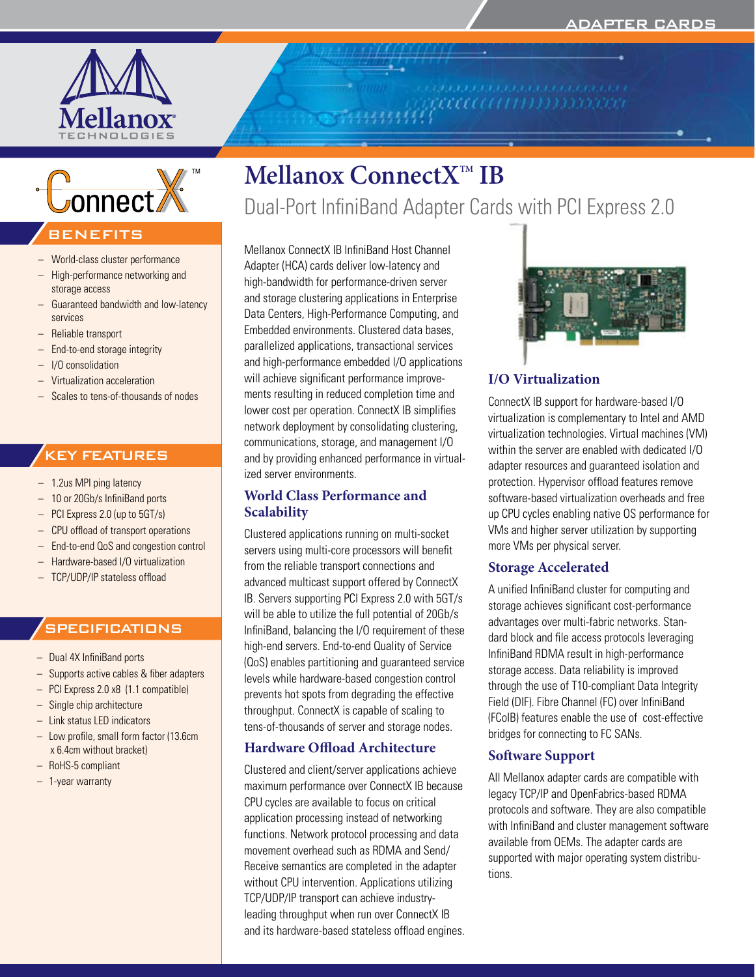

777777777777777777777777



## **BENEFITS**

- World-class cluster performance
- High-performance networking and storage access
- Guaranteed bandwidth and low-latency services
- Reliable transport
- End-to-end storage integrity
- I/O consolidation
- Virtualization acceleration
- Scales to tens-of-thousands of nodes

## KEY FEATURES

- 1.2us MPI ping latency
- 10 or 20Gb/s InfiniBand ports
- PCI Express 2.0 (up to 5GT/s)
- CPU offload of transport operations
- End-to-end QoS and congestion control
- Hardware-based I/O virtualization
- TCP/UDP/IP stateless offload

## **SPECIFICATIONS**

- Dual 4X InfiniBand ports
- Supports active cables & fiber adapters
- PCI Express 2.0 x8 (1.1 compatible)
- Single chip architecture
- Link status LED indicators
- Low profile, small form factor (13.6cm x 6.4cm without bracket)
- RoHS-5 compliant
- 1-year warranty

# **Mellanox ConnectX™ IB**

Dual-Port InfiniBand Adapter Cards with PCI Express 2.0

Mellanox ConnectX IB InfiniBand Host Channel Adapter (HCA) cards deliver low-latency and high-bandwidth for performance-driven server and storage clustering applications in Enterprise Data Centers, High-Performance Computing, and Embedded environments. Clustered data bases, parallelized applications, transactional services and high-performance embedded I/O applications will achieve significant performance improvements resulting in reduced completion time and lower cost per operation. ConnectX IB simplifies network deployment by consolidating clustering, communications, storage, and management I/O and by providing enhanced performance in virtualized server environments.

## **World Class Performance and Scalability**

Clustered applications running on multi-socket servers using multi-core processors will benefit from the reliable transport connections and advanced multicast support offered by ConnectX IB. Servers supporting PCI Express 2.0 with 5GT/s will be able to utilize the full potential of 20Gb/s InfiniBand, balancing the I/O requirement of these high-end servers. End-to-end Quality of Service (QoS) enables partitioning and guaranteed service levels while hardware-based congestion control prevents hot spots from degrading the effective throughput. ConnectX is capable of scaling to tens-of-thousands of server and storage nodes.

## **Hardware Offload Architecture**

Clustered and client/server applications achieve maximum performance over ConnectX IB because CPU cycles are available to focus on critical application processing instead of networking functions. Network protocol processing and data movement overhead such as RDMA and Send/ Receive semantics are completed in the adapter without CPU intervention. Applications utilizing TCP/UDP/IP transport can achieve industryleading throughput when run over ConnectX IB and its hardware-based stateless offload engines.



## **I/O Virtualization**

ConnectX IB support for hardware-based I/O virtualization is complementary to Intel and AMD virtualization technologies. Virtual machines (VM) within the server are enabled with dedicated I/O adapter resources and guaranteed isolation and protection. Hypervisor offload features remove software-based virtualization overheads and free up CPU cycles enabling native OS performance for VMs and higher server utilization by supporting more VMs per physical server.

## **Storage Accelerated**

A unified InfiniBand cluster for computing and storage achieves significant cost-performance advantages over multi-fabric networks. Standard block and file access protocols leveraging InfiniBand RDMA result in high-performance storage access. Data reliability is improved through the use of T10-compliant Data Integrity Field (DIF). Fibre Channel (FC) over InfiniBand (FCoIB) features enable the use of cost-effective bridges for connecting to FC SANs.

## **Software Support**

All Mellanox adapter cards are compatible with legacy TCP/IP and OpenFabrics-based RDMA protocols and software. They are also compatible with InfiniBand and cluster management software available from OEMs. The adapter cards are supported with major operating system distributions.